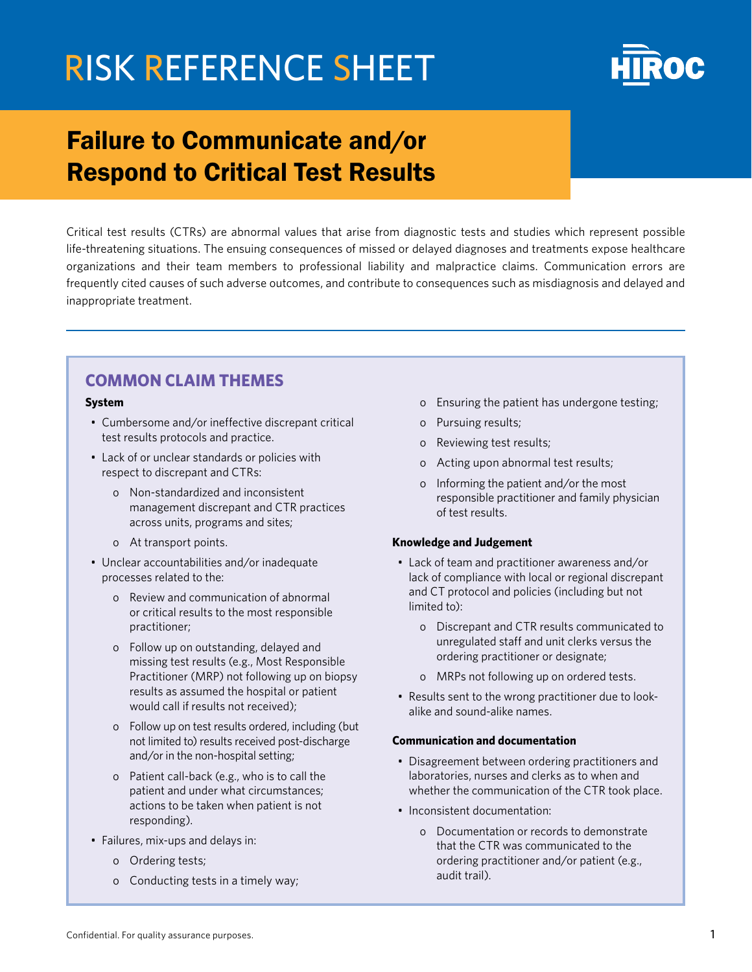

## Failure to Communicate and/or Respond to Critical Test Results

Critical test results (CTRs) are abnormal values that arise from diagnostic tests and studies which represent possible life-threatening situations. The ensuing consequences of missed or delayed diagnoses and treatments expose healthcare organizations and their team members to professional liability and malpractice claims. Communication errors are frequently cited causes of such adverse outcomes, and contribute to consequences such as misdiagnosis and delayed and inappropriate treatment.

### **COMMON CLAIM THEMES**

#### **System**

- Cumbersome and/or ineffective discrepant critical test results protocols and practice.
- Lack of or unclear standards or policies with respect to discrepant and CTRs:
	- o Non-standardized and inconsistent management discrepant and CTR practices across units, programs and sites;
	- o At transport points.
- Unclear accountabilities and/or inadequate processes related to the:
	- o Review and communication of abnormal or critical results to the most responsible practitioner;
	- o Follow up on outstanding, delayed and missing test results (e.g., Most Responsible Practitioner (MRP) not following up on biopsy results as assumed the hospital or patient would call if results not received);
	- o Follow up on test results ordered, including (but not limited to) results received post-discharge and/or in the non-hospital setting;
	- o Patient call-back (e.g., who is to call the patient and under what circumstances; actions to be taken when patient is not responding).
- Failures, mix-ups and delays in:
	- o Ordering tests;
	- o Conducting tests in a timely way;
- o Ensuring the patient has undergone testing;
- o Pursuing results;
- o Reviewing test results;
- o Acting upon abnormal test results;
- o Informing the patient and/or the most responsible practitioner and family physician of test results.

#### **Knowledge and Judgement**

- Lack of team and practitioner awareness and/or lack of compliance with local or regional discrepant and CT protocol and policies (including but not limited to):
	- o Discrepant and CTR results communicated to unregulated staff and unit clerks versus the ordering practitioner or designate;
	- o MRPs not following up on ordered tests.
- Results sent to the wrong practitioner due to lookalike and sound-alike names.

#### **Communication and documentation**

- Disagreement between ordering practitioners and laboratories, nurses and clerks as to when and whether the communication of the CTR took place.
- Inconsistent documentation:
	- o Documentation or records to demonstrate that the CTR was communicated to the ordering practitioner and/or patient (e.g., audit trail).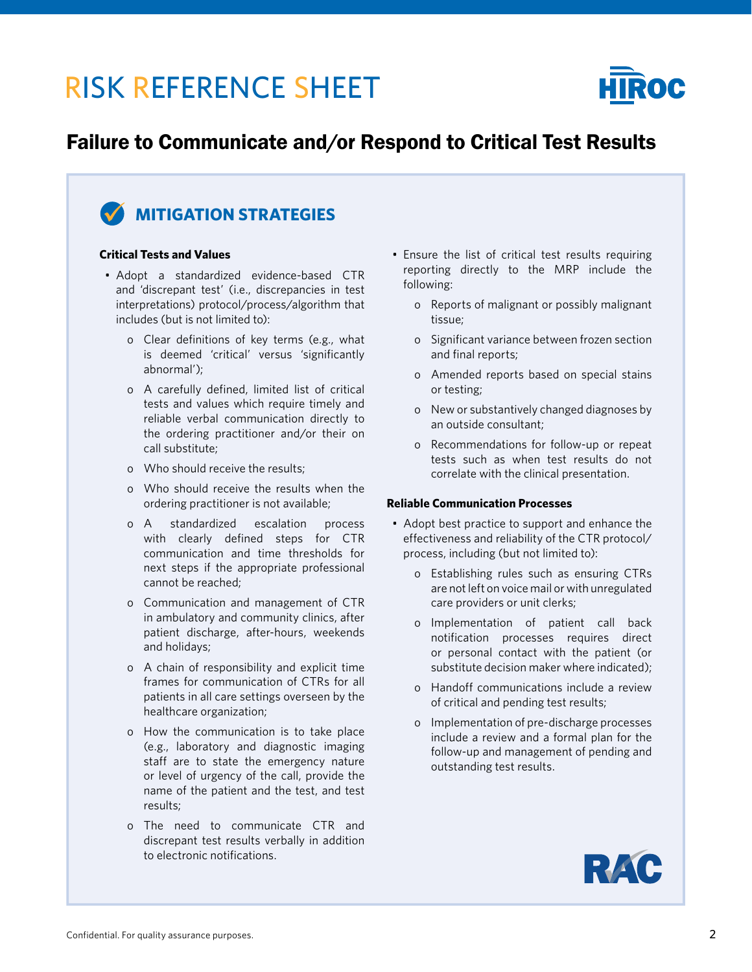

### Failure to Communicate and/or Respond to Critical Test Results



#### **Critical Tests and Values**

- Adopt a standardized evidence-based CTR and 'discrepant test' (i.e., discrepancies in test interpretations) protocol/process/algorithm that includes (but is not limited to):
	- o Clear definitions of key terms (e.g., what is deemed 'critical' versus 'significantly abnormal');
	- o A carefully defined, limited list of critical tests and values which require timely and reliable verbal communication directly to the ordering practitioner and/or their on call substitute;
	- o Who should receive the results;
	- o Who should receive the results when the ordering practitioner is not available;
	- o A standardized escalation process with clearly defined steps for CTR communication and time thresholds for next steps if the appropriate professional cannot be reached;
	- o Communication and management of CTR in ambulatory and community clinics, after patient discharge, after-hours, weekends and holidays;
	- o A chain of responsibility and explicit time frames for communication of CTRs for all patients in all care settings overseen by the healthcare organization;
	- o How the communication is to take place (e.g., laboratory and diagnostic imaging staff are to state the emergency nature or level of urgency of the call, provide the name of the patient and the test, and test results;
	- o The need to communicate CTR and discrepant test results verbally in addition to electronic notifications.
- Ensure the list of critical test results requiring reporting directly to the MRP include the following:
	- o Reports of malignant or possibly malignant tissue;
	- o Significant variance between frozen section and final reports;
	- o Amended reports based on special stains or testing;
	- o New or substantively changed diagnoses by an outside consultant;
	- o Recommendations for follow-up or repeat tests such as when test results do not correlate with the clinical presentation.

#### **Reliable Communication Processes**

- Adopt best practice to support and enhance the effectiveness and reliability of the CTR protocol/ process, including (but not limited to):
	- o Establishing rules such as ensuring CTRs are not left on voice mail or with unregulated care providers or unit clerks;
	- o Implementation of patient call back notification processes requires direct or personal contact with the patient (or substitute decision maker where indicated);
	- o Handoff communications include a review of critical and pending test results;
	- o Implementation of pre-discharge processes include a review and a formal plan for the follow-up and management of pending and outstanding test results.

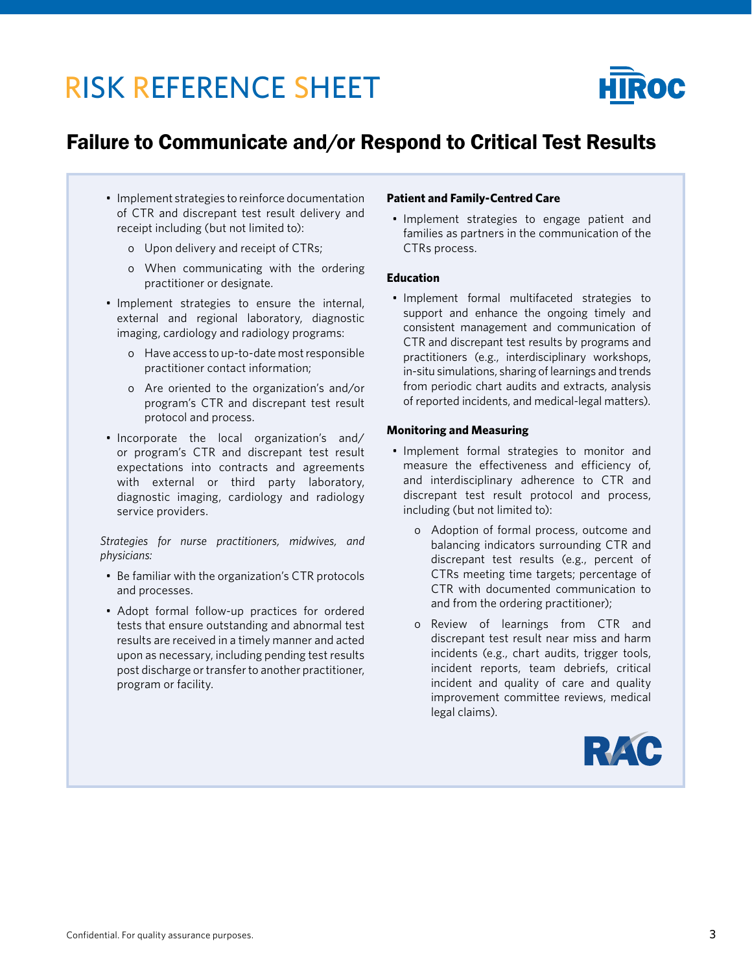

### Failure to Communicate and/or Respond to Critical Test Results

- Implement strategies to reinforce documentation of CTR and discrepant test result delivery and receipt including (but not limited to):
	- o Upon delivery and receipt of CTRs;
	- o When communicating with the ordering practitioner or designate.
- Implement strategies to ensure the internal, external and regional laboratory, diagnostic imaging, cardiology and radiology programs:
	- o Have access to up-to-date most responsible practitioner contact information;
	- o Are oriented to the organization's and/or program's CTR and discrepant test result protocol and process.
- Incorporate the local organization's and/ or program's CTR and discrepant test result expectations into contracts and agreements with external or third party laboratory, diagnostic imaging, cardiology and radiology service providers.

*Strategies for nurse practitioners, midwives, and physicians:*

- Be familiar with the organization's CTR protocols and processes.
- Adopt formal follow-up practices for ordered tests that ensure outstanding and abnormal test results are received in a timely manner and acted upon as necessary, including pending test results post discharge or transfer to another practitioner, program or facility.

#### **Patient and Family-Centred Care**

• Implement strategies to engage patient and families as partners in the communication of the CTRs process.

#### **Education**

• Implement formal multifaceted strategies to support and enhance the ongoing timely and consistent management and communication of CTR and discrepant test results by programs and practitioners (e.g., interdisciplinary workshops, in-situ simulations, sharing of learnings and trends from periodic chart audits and extracts, analysis of reported incidents, and medical-legal matters).

#### **Monitoring and Measuring**

- Implement formal strategies to monitor and measure the effectiveness and efficiency of, and interdisciplinary adherence to CTR and discrepant test result protocol and process, including (but not limited to):
	- o Adoption of formal process, outcome and balancing indicators surrounding CTR and discrepant test results (e.g., percent of CTRs meeting time targets; percentage of CTR with documented communication to and from the ordering practitioner);
	- o Review of learnings from CTR and discrepant test result near miss and harm incidents (e.g., chart audits, trigger tools, incident reports, team debriefs, critical incident and quality of care and quality improvement committee reviews, medical legal claims).